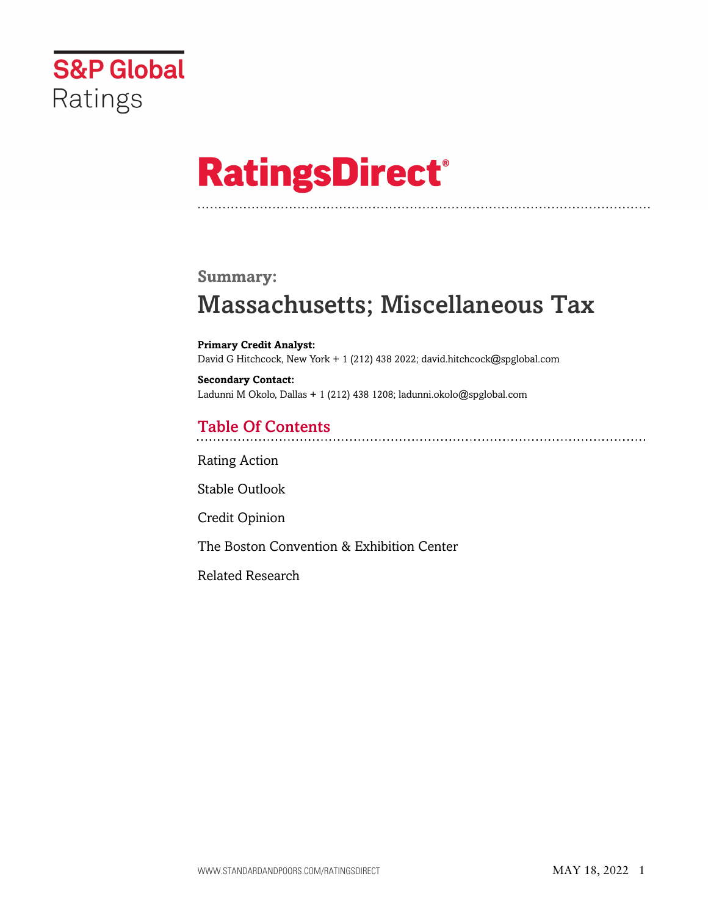

# **RatingsDirect®**

### **Summary:**

# Massachusetts; Miscellaneous Tax

**Primary Credit Analyst:** David G Hitchcock, New York + 1 (212) 438 2022; david.hitchcock@spglobal.com

**Secondary Contact:** Ladunni M Okolo, Dallas + 1 (212) 438 1208; ladunni.okolo@spglobal.com

# Table Of Contents

[Rating Action](#page-1-0)

[Stable Outlook](#page-2-0)

[Credit Opinion](#page-3-0)

[The Boston Convention & Exhibition Center](#page-4-0)

[Related Research](#page-5-0)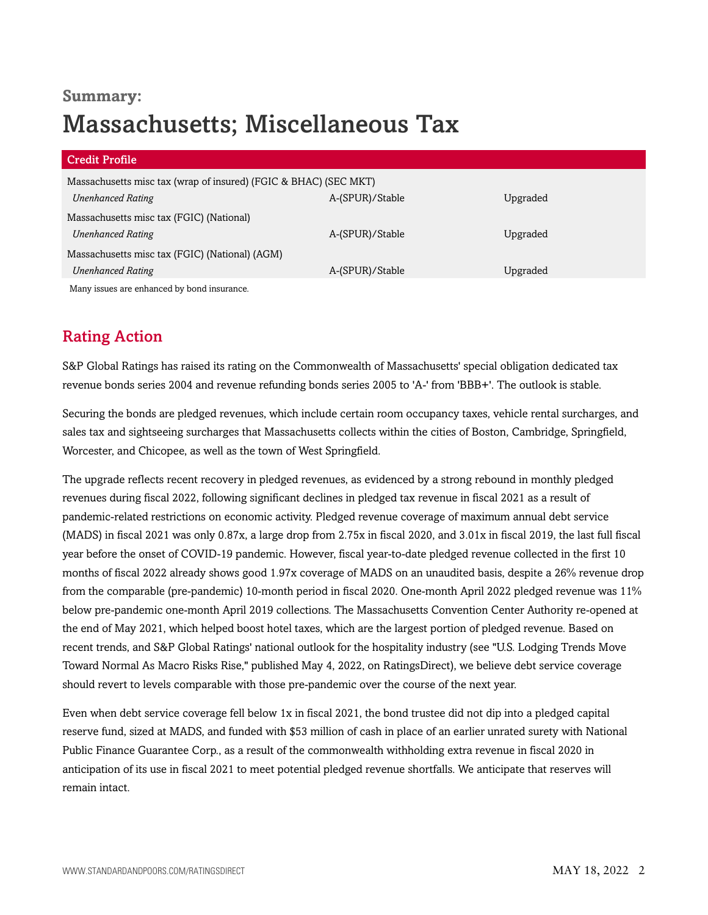# **Summary:** Massachusetts; Miscellaneous Tax

| <b>Credit Profile</b>                                            |                 |          |
|------------------------------------------------------------------|-----------------|----------|
| Massachusetts misc tax (wrap of insured) (FGIC & BHAC) (SEC MKT) |                 |          |
| <b>Unenhanced Rating</b>                                         | A-(SPUR)/Stable | Upgraded |
| Massachusetts misc tax (FGIC) (National)                         |                 |          |
| <b>Unenhanced Rating</b>                                         | A-(SPUR)/Stable | Upgraded |
| Massachusetts misc tax (FGIC) (National) (AGM)                   |                 |          |
| <b>Unenhanced Rating</b>                                         | A-(SPUR)/Stable | Upgraded |
| Many issues are enhanced by bond insurance.                      |                 |          |

# <span id="page-1-0"></span>Rating Action

S&P Global Ratings has raised its rating on the Commonwealth of Massachusetts' special obligation dedicated tax revenue bonds series 2004 and revenue refunding bonds series 2005 to 'A-' from 'BBB+'. The outlook is stable.

Securing the bonds are pledged revenues, which include certain room occupancy taxes, vehicle rental surcharges, and sales tax and sightseeing surcharges that Massachusetts collects within the cities of Boston, Cambridge, Springfield, Worcester, and Chicopee, as well as the town of West Springfield.

The upgrade reflects recent recovery in pledged revenues, as evidenced by a strong rebound in monthly pledged revenues during fiscal 2022, following significant declines in pledged tax revenue in fiscal 2021 as a result of pandemic-related restrictions on economic activity. Pledged revenue coverage of maximum annual debt service (MADS) in fiscal 2021 was only 0.87x, a large drop from 2.75x in fiscal 2020, and 3.01x in fiscal 2019, the last full fiscal year before the onset of COVID-19 pandemic. However, fiscal year-to-date pledged revenue collected in the first 10 months of fiscal 2022 already shows good 1.97x coverage of MADS on an unaudited basis, despite a 26% revenue drop from the comparable (pre-pandemic) 10-month period in fiscal 2020. One-month April 2022 pledged revenue was 11% below pre-pandemic one-month April 2019 collections. The Massachusetts Convention Center Authority re-opened at the end of May 2021, which helped boost hotel taxes, which are the largest portion of pledged revenue. Based on recent trends, and S&P Global Ratings' national outlook for the hospitality industry (see "U.S. Lodging Trends Move Toward Normal As Macro Risks Rise," published May 4, 2022, on RatingsDirect), we believe debt service coverage should revert to levels comparable with those pre-pandemic over the course of the next year.

Even when debt service coverage fell below 1x in fiscal 2021, the bond trustee did not dip into a pledged capital reserve fund, sized at MADS, and funded with \$53 million of cash in place of an earlier unrated surety with National Public Finance Guarantee Corp., as a result of the commonwealth withholding extra revenue in fiscal 2020 in anticipation of its use in fiscal 2021 to meet potential pledged revenue shortfalls. We anticipate that reserves will remain intact.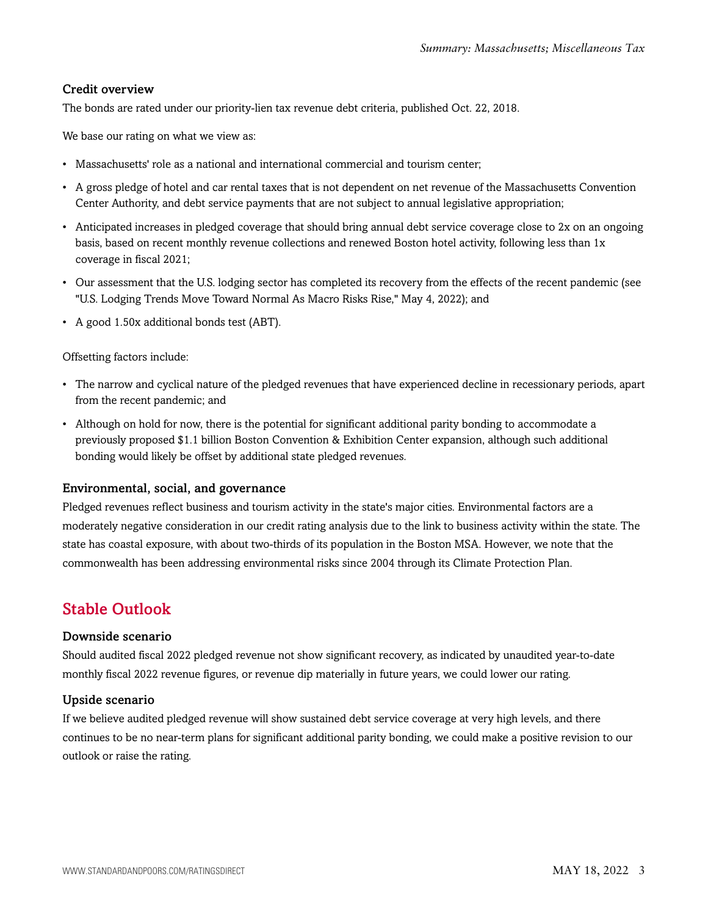#### Credit overview

The bonds are rated under our priority-lien tax revenue debt criteria, published Oct. 22, 2018.

We base our rating on what we view as:

- Massachusetts' role as a national and international commercial and tourism center;
- A gross pledge of hotel and car rental taxes that is not dependent on net revenue of the Massachusetts Convention Center Authority, and debt service payments that are not subject to annual legislative appropriation;
- Anticipated increases in pledged coverage that should bring annual debt service coverage close to 2x on an ongoing basis, based on recent monthly revenue collections and renewed Boston hotel activity, following less than 1x coverage in fiscal 2021;
- Our assessment that the U.S. lodging sector has completed its recovery from the effects of the recent pandemic (see "U.S. Lodging Trends Move Toward Normal As Macro Risks Rise," May 4, 2022); and
- A good 1.50x additional bonds test (ABT).

#### Offsetting factors include:

- The narrow and cyclical nature of the pledged revenues that have experienced decline in recessionary periods, apart from the recent pandemic; and
- Although on hold for now, there is the potential for significant additional parity bonding to accommodate a previously proposed \$1.1 billion Boston Convention & Exhibition Center expansion, although such additional bonding would likely be offset by additional state pledged revenues.

#### Environmental, social, and governance

Pledged revenues reflect business and tourism activity in the state's major cities. Environmental factors are a moderately negative consideration in our credit rating analysis due to the link to business activity within the state. The state has coastal exposure, with about two-thirds of its population in the Boston MSA. However, we note that the commonwealth has been addressing environmental risks since 2004 through its Climate Protection Plan.

## <span id="page-2-0"></span>Stable Outlook

#### Downside scenario

Should audited fiscal 2022 pledged revenue not show significant recovery, as indicated by unaudited year-to-date monthly fiscal 2022 revenue figures, or revenue dip materially in future years, we could lower our rating.

#### Upside scenario

If we believe audited pledged revenue will show sustained debt service coverage at very high levels, and there continues to be no near-term plans for significant additional parity bonding, we could make a positive revision to our outlook or raise the rating.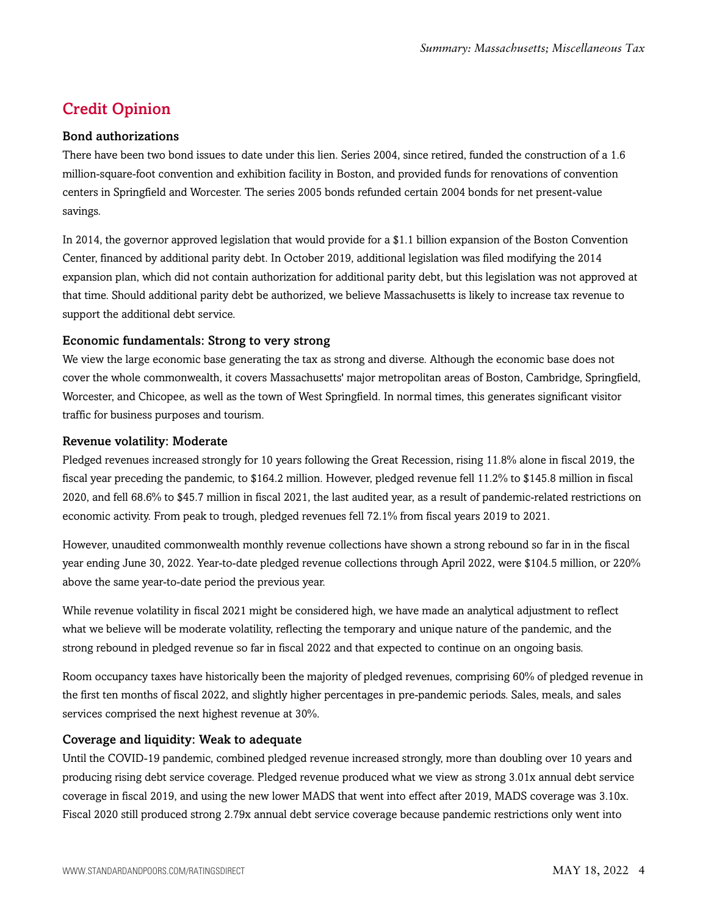# <span id="page-3-0"></span>Credit Opinion

#### Bond authorizations

There have been two bond issues to date under this lien. Series 2004, since retired, funded the construction of a 1.6 million-square-foot convention and exhibition facility in Boston, and provided funds for renovations of convention centers in Springfield and Worcester. The series 2005 bonds refunded certain 2004 bonds for net present-value savings.

In 2014, the governor approved legislation that would provide for a \$1.1 billion expansion of the Boston Convention Center, financed by additional parity debt. In October 2019, additional legislation was filed modifying the 2014 expansion plan, which did not contain authorization for additional parity debt, but this legislation was not approved at that time. Should additional parity debt be authorized, we believe Massachusetts is likely to increase tax revenue to support the additional debt service.

#### Economic fundamentals: Strong to very strong

We view the large economic base generating the tax as strong and diverse. Although the economic base does not cover the whole commonwealth, it covers Massachusetts' major metropolitan areas of Boston, Cambridge, Springfield, Worcester, and Chicopee, as well as the town of West Springfield. In normal times, this generates significant visitor traffic for business purposes and tourism.

#### Revenue volatility: Moderate

Pledged revenues increased strongly for 10 years following the Great Recession, rising 11.8% alone in fiscal 2019, the fiscal year preceding the pandemic, to \$164.2 million. However, pledged revenue fell 11.2% to \$145.8 million in fiscal 2020, and fell 68.6% to \$45.7 million in fiscal 2021, the last audited year, as a result of pandemic-related restrictions on economic activity. From peak to trough, pledged revenues fell 72.1% from fiscal years 2019 to 2021.

However, unaudited commonwealth monthly revenue collections have shown a strong rebound so far in in the fiscal year ending June 30, 2022. Year-to-date pledged revenue collections through April 2022, were \$104.5 million, or 220% above the same year-to-date period the previous year.

While revenue volatility in fiscal 2021 might be considered high, we have made an analytical adjustment to reflect what we believe will be moderate volatility, reflecting the temporary and unique nature of the pandemic, and the strong rebound in pledged revenue so far in fiscal 2022 and that expected to continue on an ongoing basis.

Room occupancy taxes have historically been the majority of pledged revenues, comprising 60% of pledged revenue in the first ten months of fiscal 2022, and slightly higher percentages in pre-pandemic periods. Sales, meals, and sales services comprised the next highest revenue at 30%.

#### Coverage and liquidity: Weak to adequate

Until the COVID-19 pandemic, combined pledged revenue increased strongly, more than doubling over 10 years and producing rising debt service coverage. Pledged revenue produced what we view as strong 3.01x annual debt service coverage in fiscal 2019, and using the new lower MADS that went into effect after 2019, MADS coverage was 3.10x. Fiscal 2020 still produced strong 2.79x annual debt service coverage because pandemic restrictions only went into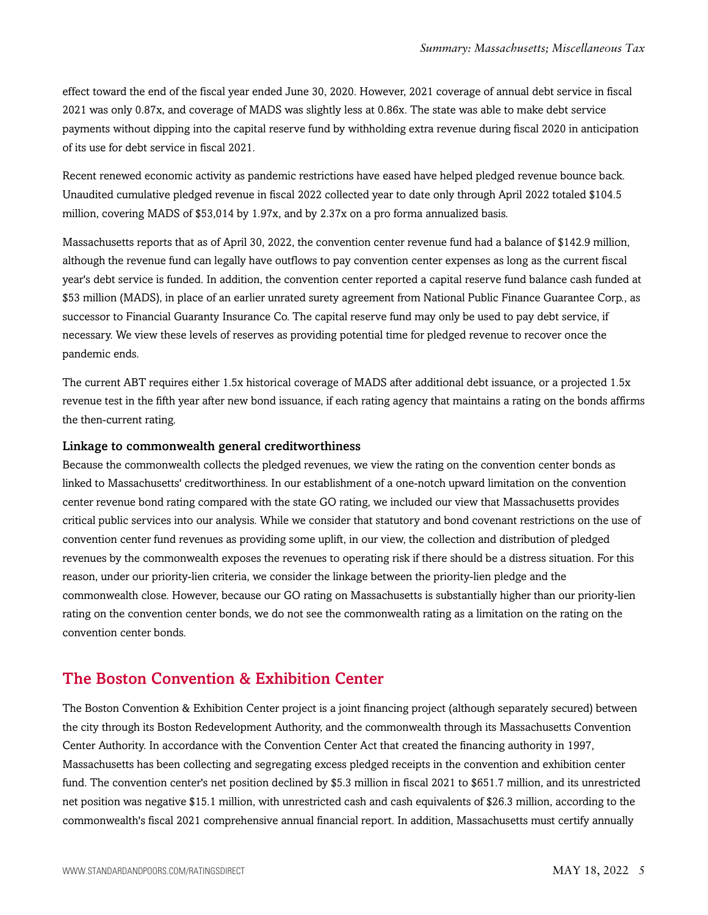effect toward the end of the fiscal year ended June 30, 2020. However, 2021 coverage of annual debt service in fiscal 2021 was only 0.87x, and coverage of MADS was slightly less at 0.86x. The state was able to make debt service payments without dipping into the capital reserve fund by withholding extra revenue during fiscal 2020 in anticipation of its use for debt service in fiscal 2021.

Recent renewed economic activity as pandemic restrictions have eased have helped pledged revenue bounce back. Unaudited cumulative pledged revenue in fiscal 2022 collected year to date only through April 2022 totaled \$104.5 million, covering MADS of \$53,014 by 1.97x, and by 2.37x on a pro forma annualized basis.

Massachusetts reports that as of April 30, 2022, the convention center revenue fund had a balance of \$142.9 million, although the revenue fund can legally have outflows to pay convention center expenses as long as the current fiscal year's debt service is funded. In addition, the convention center reported a capital reserve fund balance cash funded at \$53 million (MADS), in place of an earlier unrated surety agreement from National Public Finance Guarantee Corp., as successor to Financial Guaranty Insurance Co. The capital reserve fund may only be used to pay debt service, if necessary. We view these levels of reserves as providing potential time for pledged revenue to recover once the pandemic ends.

The current ABT requires either 1.5x historical coverage of MADS after additional debt issuance, or a projected 1.5x revenue test in the fifth year after new bond issuance, if each rating agency that maintains a rating on the bonds affirms the then-current rating.

#### Linkage to commonwealth general creditworthiness

Because the commonwealth collects the pledged revenues, we view the rating on the convention center bonds as linked to Massachusetts' creditworthiness. In our establishment of a one-notch upward limitation on the convention center revenue bond rating compared with the state GO rating, we included our view that Massachusetts provides critical public services into our analysis. While we consider that statutory and bond covenant restrictions on the use of convention center fund revenues as providing some uplift, in our view, the collection and distribution of pledged revenues by the commonwealth exposes the revenues to operating risk if there should be a distress situation. For this reason, under our priority-lien criteria, we consider the linkage between the priority-lien pledge and the commonwealth close. However, because our GO rating on Massachusetts is substantially higher than our priority-lien rating on the convention center bonds, we do not see the commonwealth rating as a limitation on the rating on the convention center bonds.

### <span id="page-4-0"></span>The Boston Convention & Exhibition Center

The Boston Convention & Exhibition Center project is a joint financing project (although separately secured) between the city through its Boston Redevelopment Authority, and the commonwealth through its Massachusetts Convention Center Authority. In accordance with the Convention Center Act that created the financing authority in 1997, Massachusetts has been collecting and segregating excess pledged receipts in the convention and exhibition center fund. The convention center's net position declined by \$5.3 million in fiscal 2021 to \$651.7 million, and its unrestricted net position was negative \$15.1 million, with unrestricted cash and cash equivalents of \$26.3 million, according to the commonwealth's fiscal 2021 comprehensive annual financial report. In addition, Massachusetts must certify annually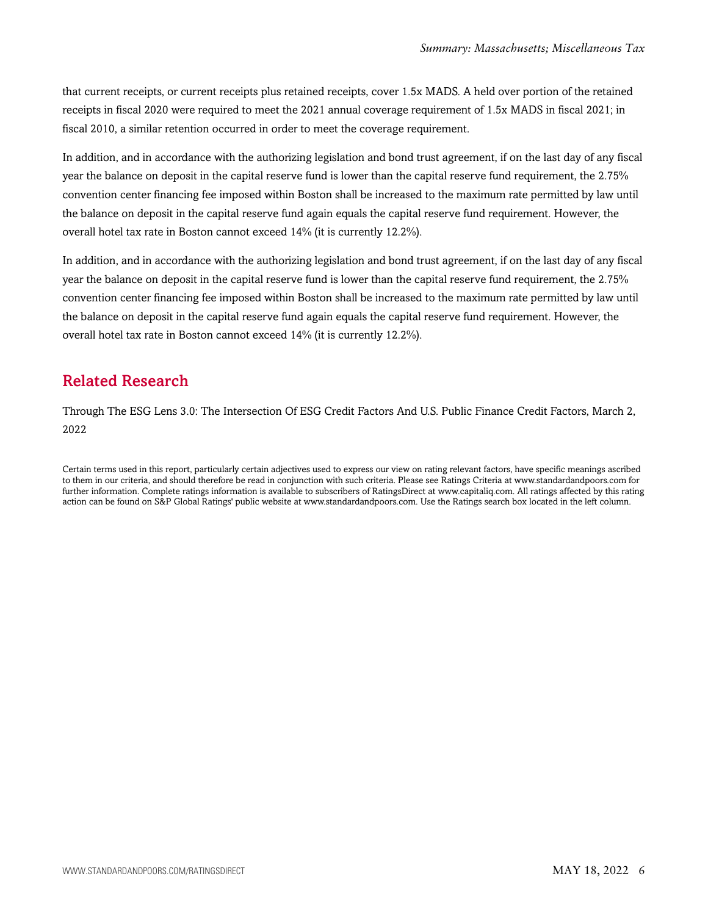that current receipts, or current receipts plus retained receipts, cover 1.5x MADS. A held over portion of the retained receipts in fiscal 2020 were required to meet the 2021 annual coverage requirement of 1.5x MADS in fiscal 2021; in fiscal 2010, a similar retention occurred in order to meet the coverage requirement.

In addition, and in accordance with the authorizing legislation and bond trust agreement, if on the last day of any fiscal year the balance on deposit in the capital reserve fund is lower than the capital reserve fund requirement, the 2.75% convention center financing fee imposed within Boston shall be increased to the maximum rate permitted by law until the balance on deposit in the capital reserve fund again equals the capital reserve fund requirement. However, the overall hotel tax rate in Boston cannot exceed 14% (it is currently 12.2%).

In addition, and in accordance with the authorizing legislation and bond trust agreement, if on the last day of any fiscal year the balance on deposit in the capital reserve fund is lower than the capital reserve fund requirement, the 2.75% convention center financing fee imposed within Boston shall be increased to the maximum rate permitted by law until the balance on deposit in the capital reserve fund again equals the capital reserve fund requirement. However, the overall hotel tax rate in Boston cannot exceed 14% (it is currently 12.2%).

# <span id="page-5-0"></span>Related Research

Through The ESG Lens 3.0: The Intersection Of ESG Credit Factors And U.S. Public Finance Credit Factors, March 2, 2022

Certain terms used in this report, particularly certain adjectives used to express our view on rating relevant factors, have specific meanings ascribed to them in our criteria, and should therefore be read in conjunction with such criteria. Please see Ratings Criteria at www.standardandpoors.com for further information. Complete ratings information is available to subscribers of RatingsDirect at www.capitaliq.com. All ratings affected by this rating action can be found on S&P Global Ratings' public website at www.standardandpoors.com. Use the Ratings search box located in the left column.